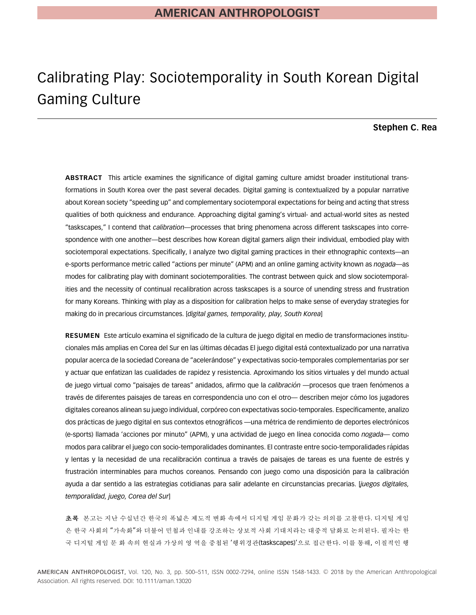# Calibrating Play: Sociotemporality in South Korean Digital Gaming Culture

**Stephen C. Rea**

**ABSTRACT** This article examines the significance of digital gaming culture amidst broader institutional transformations in South Korea over the past several decades. Digital gaming is contextualized by a popular narrative about Korean society "speeding up" and complementary sociotemporal expectations for being and acting that stress qualities of both quickness and endurance. Approaching digital gaming's virtual- and actual-world sites as nested "taskscapes," I contend that *calibration—*processes that bring phenomena across different taskscapes into correspondence with one another—best describes how Korean digital gamers align their individual, embodied play with sociotemporal expectations. Specifically, I analyze two digital gaming practices in their ethnographic contexts—an e-sports performance metric called "actions per minute" (APM) and an online gaming activity known as *nogada*—as modes for calibrating play with dominant sociotemporalities. The contrast between quick and slow sociotemporalities and the necessity of continual recalibration across taskscapes is a source of unending stress and frustration for many Koreans. Thinking with play as a disposition for calibration helps to make sense of everyday strategies for making do in precarious circumstances. [*digital games, temporality, play, South Korea*]

**RESUMEN** Este artículo examina el significado de la cultura de juego digital en medio de transformaciones institucionales más amplias en Corea del Sur en las últimas décadas El juego digital está contextualizado por una narrativa popular acerca de la sociedad Coreana de "acelerándose" y expectativas socio-temporales complementarias por ser y actuar que enfatizan las cualidades de rapidez y resistencia. Aproximando los sitios virtuales y del mundo actual de juego virtual como "paisajes de tareas" anidados, afirmo que la *calibración* —procesos que traen fenómenos a través de diferentes paisajes de tareas en correspondencia uno con el otro— describen mejor cómo los jugadores digitales coreanos alinean su juego individual, corpóreo con expectativas socio-temporales. Específicamente, analizo dos prácticas de juego digital en sus contextos etnográficos —una métrica de rendimiento de deportes electrónicos (e-sports) llamada 'acciones por minuto" (APM), y una actividad de juego en l´ınea conocida como *nogada*— como modos para calibrar el juego con socio-temporalidades dominantes. El contraste entre socio-temporalidades rapidas ´ y lentas y la necesidad de una recalibración continua a través de paisajes de tareas es una fuente de estrés y frustración interminables para muchos coreanos. Pensando con juego como una disposición para la calibración ayuda a dar sentido a las estrategias cotidianas para salir adelante en circunstancias precarias. [*juegos digitales, temporalidad, juego, Corea del Sur*]

초록 본고는 지난 수십년간 한국의 폭넓은 제도적 변화 속에서 디지털 게임 문화가 갖는 의의를 고찰한다. 디지털 게임 은 한국 사회의 "가속화"와 더불어 민첩과 인내를 강조하는 상보적 사회 기대치라는 대중적 담화로 논의된다. 필자는 한 국 디지털 게임 문 화 속의 현실과 가상의 영 역을 중첩된 '행위경관(taskscapes)'으로 접근한다. 이를 통해, 이질적인 행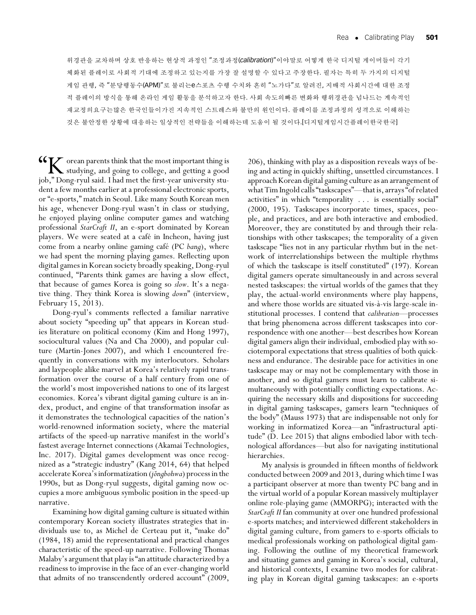위경관을 교차하며 상호 반응하는 현상적 과정인 **"**조정과정(**Calibration)"**이야말로 어떻게 한국 디지털 게이머들이 각기 체화된 플레이로 사회적 기대에 조정하고 있는지를 가장 잘 설명할 수 있다고 주장한다. 필자는 특히 두 가지의 디지털 게임 관행, 즉 "분당행동수(APM)"로 불리는e스포츠 수행 수치와 흔히 "노가다"로 알려진, 지배적 사회시간에 대한 조정 적 플레이의 방식을 통해 온라인 게임 활동을 분석하고자 한다. 사회 속도의빠른 변화와 행위경관을 넘나드는 계속적인 재교정의요구는많은 한국인들이가진 지속적인 스트레스와 불만의 원인이다. 플레이를 조정과정의 성격으로 이해하는 것은 불안정한 상황에 대응하는 일상적인 전략들을 이해하는데 도움이 될 것이다.[디지털게임시간플레이한국한국]

 $\mathcal{K}_{\text{studying, and going to college, and getting a good}$ <br>iob." Dong-rvul said. I had met the first-vear university stustudying, and going to college, and getting a good job," Dong-ryul said. I had met the first-year university student a few months earlier at a professional electronic sports, or "e-sports," match in Seoul. Like many South Korean men his age, whenever Dong-ryul wasn't in class or studying, he enjoyed playing online computer games and watching professional *StarCraft II*, an e-sport dominated by Korean players. We were seated at a cafe in Incheon, having just ´ come from a nearby online gaming café (PC *bang*), where we had spent the morning playing games. Reflecting upon digital games in Korean society broadly speaking, Dong-ryul continued, "Parents think games are having a slow effect, that because of games Korea is going so *slow*. It's a negative thing. They think Korea is slowing *down*" (interview, February 15, 2013).

Dong-ryul's comments reflected a familiar narrative about society "speeding up" that appears in Korean studies literature on political economy (Kim and Hong 1997), sociocultural values (Na and Cha 2000), and popular culture (Martin-Jones 2007), and which I encountered frequently in conversations with my interlocutors. Scholars and laypeople alike marvel at Korea's relatively rapid transformation over the course of a half century from one of the world's most impoverished nations to one of its largest economies. Korea's vibrant digital gaming culture is an index, product, and engine of that transformation insofar as it demonstrates the technological capacities of the nation's world-renowned information society, where the material artifacts of the speed-up narrative manifest in the world's fastest average Internet connections (Akamai Technologies, Inc. 2017). Digital games development was once recognized as a "strategic industry" (Kang 2014, 64) that helped accelerate Korea's informatization (*jongbohwa*) process in the 1990s, but as Dong-ryul suggests, digital gaming now occupies a more ambiguous symbolic position in the speed-up narrative.

Examining how digital gaming culture is situated within contemporary Korean society illustrates strategies that individuals use to, as Michel de Certeau put it, "make do" (1984, 18) amid the representational and practical changes characteristic of the speed-up narrative. Following Thomas Malaby's argument that play is "an attitude characterized by a readiness to improvise in the face of an ever-changing world that admits of no transcendently ordered account" (2009,

206), thinking with play as a disposition reveals ways of being and acting in quickly shifting, unsettled circumstances. I approach Korean digital gaming culture as an arrangement of what Tim Ingold calls "taskscapes"—that is, arrays "of related activities" in which "temporality . . . is essentially social" (2000, 195). Taskscapes incorporate times, spaces, people, and practices, and are both interactive and embodied. Moreover, they are constituted by and through their relationships with other taskscapes; the temporality of a given taskscape "lies not in any particular rhythm but in the network of interrelationships between the multiple rhythms of which the taskscape is itself constituted" (197). Korean digital gamers operate simultaneously in and across several nested taskscapes: the virtual worlds of the games that they play, the actual-world environments where play happens, and where those worlds are situated vis-à-vis large-scale institutional processes. I contend that *calibration—*processes that bring phenomena across different taskscapes into correspondence with one another—best describes how Korean digital gamers align their individual, embodied play with sociotemporal expectations that stress qualities of both quickness and endurance. The desirable pace for activities in one taskscape may or may not be complementary with those in another, and so digital gamers must learn to calibrate simultaneously with potentially conflicting expectations. Acquiring the necessary skills and dispositions for succeeding in digital gaming taskscapes, gamers learn "techniques of the body" (Mauss 1973) that are indispensable not only for working in informatized Korea—an "infrastructural aptitude" (D. Lee 2015) that aligns embodied labor with technological affordances—but also for navigating institutional hierarchies.

My analysis is grounded in fifteen months of fieldwork conducted between 2009 and 2013, during which time I was a participant observer at more than twenty PC bang and in the virtual world of a popular Korean massively multiplayer online role-playing game (MMORPG); interacted with the *StarCraft II* fan community at over one hundred professional e-sports matches; and interviewed different stakeholders in digital gaming culture, from gamers to e-sports officials to medical professionals working on pathological digital gaming. Following the outline of my theoretical framework and situating games and gaming in Korea's social, cultural, and historical contexts, I examine two modes for calibrating play in Korean digital gaming taskscapes: an e-sports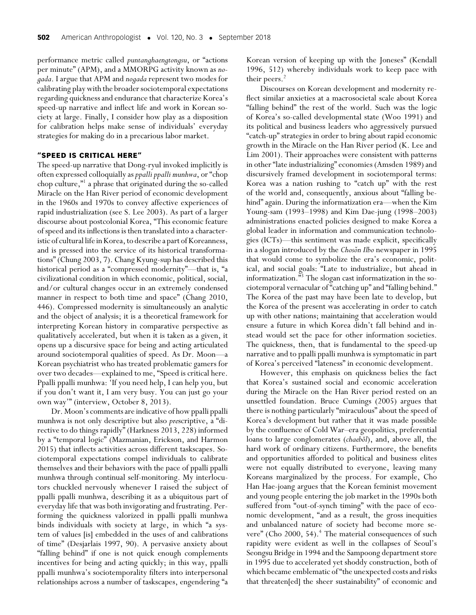performance metric called *puntanghaengtongsu*, or "actions per minute" (APM), and a MMORPG activity known as *nogada*. I argue that APM and *nogada* represent two modes for calibrating play with the broader sociotemporal expectations regarding quickness and endurance that characterize Korea's speed-up narrative and inflect life and work in Korean society at large. Finally, I consider how play as a disposition for calibration helps make sense of individuals' everyday strategies for making do in a precarious labor market.

#### **"SPEED IS CRITICAL HERE"**

The speed-up narrative that Dong-ryul invoked implicitly is often expressed colloquially as*ppalli ppalli munhwa*, or "chop chop culture,"1 a phrase that originated during the so-called Miracle on the Han River period of economic development in the 1960s and 1970s to convey affective experiences of rapid industrialization (see S. Lee 2003). As part of a larger discourse about postcolonial Korea, "This economic feature of speed and its inflections is then translated into a characteristic of cultural life in Korea, to describe a part of Koreanness, and is pressed into the service of its historical transformations" (Chung 2003, 7). Chang Kyung-sup has described this historical period as a "compressed modernity"—that is, "a civilizational condition in which economic, political, social, and/or cultural changes occur in an extremely condensed manner in respect to both time and space" (Chang 2010, 446). Compressed modernity is simultaneously an analytic and the object of analysis; it is a theoretical framework for interpreting Korean history in comparative perspective as qualitatively accelerated, but when it is taken as a given, it opens up a discursive space for being and acting articulated around sociotemporal qualities of speed. As Dr. Moon—a Korean psychiatrist who has treated problematic gamers for over two decades—explained to me, "Speed is critical here. Ppalli ppalli munhwa: 'If you need help, I can help you, but if you don't want it, I am very busy. You can just go your own way'" (interview, October 8, 2013).

Dr. Moon's comments are indicative of how ppalli ppalli munhwa is not only descriptive but also *pre*scriptive, a "directive to do things rapidly" (Harkness 2013, 228) informed by a "temporal logic" (Mazmanian, Erickson, and Harmon 2015) that inflects activities across different taskscapes. Sociotemporal expectations compel individuals to calibrate themselves and their behaviors with the pace of ppalli ppalli munhwa through continual self-monitoring. My interlocutors chuckled nervously whenever I raised the subject of ppalli ppalli munhwa, describing it as a ubiquitous part of everyday life that was both invigorating and frustrating. Performing the quickness valorized in ppalli ppalli munhwa binds individuals with society at large, in which "a system of values [is] embedded in the uses of and calibrations of time" (Desjarlais 1997, 90). A pervasive anxiety about "falling behind" if one is not quick enough complements incentives for being and acting quickly; in this way, ppalli ppalli munhwa's sociotemporality filters into interpersonal relationships across a number of taskscapes, engendering "a

Korean version of keeping up with the Joneses" (Kendall 1996, 512) whereby individuals work to keep pace with their peers. $<sup>2</sup>$ </sup>

Discourses on Korean development and modernity reflect similar anxieties at a macrosocietal scale about Korea "falling behind" the rest of the world. Such was the logic of Korea's so-called developmental state (Woo 1991) and its political and business leaders who aggressively pursued "catch-up" strategies in order to bring about rapid economic growth in the Miracle on the Han River period (K. Lee and Lim 2001). Their approaches were consistent with patterns in other "late industrializing" economies (Amsden 1989) and discursively framed development in sociotemporal terms: Korea was a nation rushing to "catch up" with the rest of the world and, consequently, anxious about "falling behind" again. During the informatization era—when the Kim Young-sam (1993–1998) and Kim Dae-jung (1998–2003) administrations enacted policies designed to make Korea a global leader in information and communication technologies (ICTs)—this sentiment was made explicit, specifically in a slogan introduced by the *Choson Ilbo* newspaper in 1995 that would come to symbolize the era's economic, political, and social goals: "Late to industrialize, but ahead in informatization."3 The slogan cast informatization in the sociotemporal vernacular of "catching up" and "falling behind." The Korea of the past may have been late to develop, but the Korea of the present was accelerating in order to catch up with other nations; maintaining that acceleration would ensure a future in which Korea didn't fall behind and instead would set the pace for other information societies. The quickness, then, that is fundamental to the speed-up narrative and to ppalli ppalli munhwa is symptomatic in part of Korea's perceived "lateness" in economic development.

However, this emphasis on quickness belies the fact that Korea's sustained social and economic acceleration during the Miracle on the Han River period rested on an unsettled foundation. Bruce Cumings (2005) argues that there is nothing particularly "miraculous" about the speed of Korea's development but rather that it was made possible by the confluence of Cold War–era geopolitics, preferential loans to large conglomerates (*chaebol*), and, above all, the hard work of ordinary citizens. Furthermore, the benefits and opportunities afforded to political and business elites were not equally distributed to everyone, leaving many Koreans marginalized by the process. For example, Cho Han Hae-joang argues that the Korean feminist movement and young people entering the job market in the 1990s both suffered from "out-of-synch timing" with the pace of economic development, "and as a result, the gross inequities and unbalanced nature of society had become more severe" (Cho 2000, 54). $4$  The material consequences of such rapidity were evident as well in the collapses of Seoul's Seongsu Bridge in 1994 and the Sampoong department store in 1995 due to accelerated yet shoddy construction, both of which became emblematic of "the unexpected costs and risks that threaten[ed] the sheer sustainability" of economic and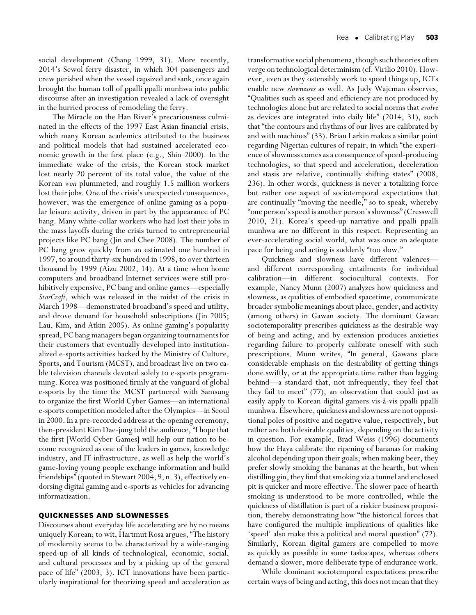social development (Chang 1999, 31). More recently, 2014's Sewol ferry disaster, in which 304 passengers and crew perished when the vessel capsized and sank, once again brought the human toll of ppalli ppalli munhwa into public discourse after an investigation revealed a lack of oversight in the hurried process of remodeling the ferry.

The Miracle on the Han River's precariousness culminated in the effects of the 1997 East Asian financial crisis, which many Korean academics attributed to the business and political models that had sustained accelerated economic growth in the first place (e.g., Shin 2000). In the immediate wake of the crisis, the Korean stock market lost nearly 20 percent of its total value, the value of the Korean *won* plummeted, and roughly 1.5 million workers lost their jobs. One of the crisis's unexpected consequences, however, was the emergence of online gaming as a popular leisure activity, driven in part by the appearance of PC bang. Many white-collar workers who had lost their jobs in the mass layoffs during the crisis turned to entrepreneurial projects like PC bang (Jin and Chee 2008). The number of PC bang grew quickly from an estimated one hundred in 1997, to around thirty-six hundred in 1998, to over thirteen thousand by 1999 (Aizu 2002, 14). At a time when home computers and broadband Internet services were still prohibitively expensive, PC bang and online games—especially *StarCraft*, which was released in the midst of the crisis in March 1998—demonstrated broadband's speed and utility, and drove demand for household subscriptions (Jin 2005; Lau, Kim, and Atkin 2005). As online gaming's popularity spread, PC bang managers began organizing tournaments for their customers that eventually developed into institutionalized e-sports activities backed by the Ministry of Culture, Sports, and Tourism (MCST), and broadcast live on two cable television channels devoted solely to e-sports programming. Korea was positioned firmly at the vanguard of global e-sports by the time the MCST partnered with Samsung to organize the first World Cyber Games—an international e-sports competition modeled after the Olympics—in Seoul in 2000. In a pre-recorded address at the opening ceremony, then-president Kim Dae-jung told the audience, "I hope that the first [World Cyber Games] will help our nation to become recognized as one of the leaders in games, knowledge industry, and IT infrastructure, as well as help the world's game-loving young people exchange information and build friendships" (quoted in Stewart 2004, 9, n. 3), effectively endorsing digital gaming and e-sports as vehicles for advancing informatization.

#### **QUICKNESSES AND SLOWNESSES**

Discourses about everyday life accelerating are by no means uniquely Korean; to wit, Hartmut Rosa argues, "The history of modernity seems to be characterized by a wide-ranging speed-up of all kinds of technological, economic, social, and cultural processes and by a picking up of the general pace of life" (2003, 3). ICT innovations have been particularly inspirational for theorizing speed and acceleration as transformative social phenomena, though such theories often verge on technological determinism (cf. Virilio 2010). However, even as they ostensibly work to speed things up, ICTs enable new *slownesses* as well. As Judy Wajcman observes, "Qualities such as speed and efficiency are not produced by technologies alone but are related to social norms that *evolve* as devices are integrated into daily life" (2014, 31), such that "the contours and rhythms of our lives are calibrated by and with machines" (33). Brian Larkin makes a similar point regarding Nigerian cultures of repair, in which "the experience of slowness comes as a consequence of speed-producing technologies, so that speed and acceleration, deceleration and stasis are relative, continually shifting states" (2008, 236). In other words, quickness is never a totalizing force but rather one aspect of sociotemporal expectations that are continually "moving the needle," so to speak, whereby "one person's speed is another person's slowness" (Cresswell 2010, 21). Korea's speed-up narrative and ppalli ppalli munhwa are no different in this respect. Representing an ever-accelerating social world, what was once an adequate pace for being and acting is suddenly "too slow."

Quickness and slowness have different valences and different corresponding entailments for individual calibration—in different sociocultural contexts. For example, Nancy Munn (2007) analyzes how quickness and slowness, as qualities of embodied spacetime, communicate broader symbolic meanings about place, gender, and activity (among others) in Gawan society. The dominant Gawan sociotemporality prescribes quickness as the desirable way of being and acting, and by extension produces anxieties regarding failure to properly calibrate oneself with such prescriptions. Munn writes, "In general, Gawans place considerable emphasis on the desirability of getting things done swiftly, or at the appropriate time rather than lagging behind—a standard that, not infrequently, they feel that they fail to meet" (77), an observation that could just as easily apply to Korean digital gamers vis-à-vis ppalli ppalli munhwa. Elsewhere, quickness and slowness are not oppositional poles of positive and negative value, respectively, but rather are both desirable qualities, depending on the activity in question. For example, Brad Weiss (1996) documents how the Haya calibrate the ripening of bananas for making alcohol depending upon their goals; when making beer, they prefer slowly smoking the bananas at the hearth, but when distilling gin, they find that smoking via a tunnel and enclosed pit is quicker and more effective. The slower pace of hearth smoking is understood to be more controlled, while the quickness of distillation is part of a riskier business proposition, thereby demonstrating how "the historical forces that have configured the multiple implications of qualities like 'speed' also make this a political and moral question" (72). Similarly, Korean digital gamers are compelled to move as quickly as possible in some taskscapes, whereas others demand a slower, more deliberate type of endurance work.

While dominant sociotemporal expectations prescribe certain ways of being and acting, this does not mean that they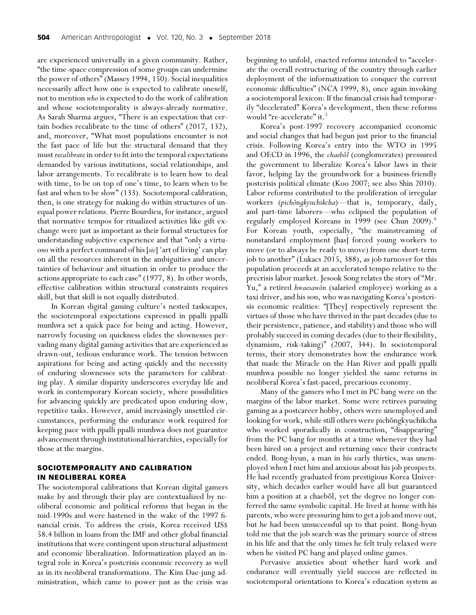are experienced universally in a given community. Rather, "the time-space compression of some groups can undermine the power of others" (Massey 1994, 150). Social inequalities necessarily affect how one is expected to calibrate oneself, not to mention *who* is expected to do the work of calibration and whose sociotemporality is always-already normative. As Sarah Sharma argues, "There is an expectation that certain bodies recalibrate to the time of others" (2017, 132), and, moreover, "What most populations encounter is not the fast pace of life but the structural demand that they must *recalibrate* in order to fit into the temporal expectations demanded by various institutions, social relationships, and labor arrangements. To recalibrate is to learn how to deal with time, to be on top of one's time, to learn when to be fast and when to be slow" (133). Sociotemporal calibration, then, is one strategy for making do within structures of unequal power relations. Pierre Bourdieu, for instance, argued that normative tempos for ritualized activities like gift exchange were just as important as their formal structures for understanding subjective experience and that "only a virtuoso with a perfect command of his [*sic*] 'art of living' can play on all the resources inherent in the ambiguities and uncertainties of behaviour and situation in order to produce the actions appropriate to each case" (1977, 8). In other words, effective calibration within structural constraints requires skill, but that skill is not equally distributed.

In Korean digital gaming culture's nested taskscapes, the sociotemporal expectations expressed in ppalli ppalli munhwa set a quick pace for being and acting. However, narrowly focusing on quickness elides the slownesses pervading many digital gaming activities that are experienced as drawn-out, tedious endurance work. The tension between aspirations for being and acting quickly and the necessity of enduring slownesses sets the parameters for calibrating play. A similar disparity underscores everyday life and work in contemporary Korean society, where possibilities for advancing quickly are predicated upon enduring slow, repetitive tasks. However, amid increasingly unsettled circumstances, performing the endurance work required for keeping pace with ppalli ppalli munhwa does not guarantee advancement through institutional hierarchies, especially for those at the margins.

## **SOCIOTEMPORALITY AND CALIBRATION IN NEOLIBERAL KOREA**

The sociotemporal calibrations that Korean digital gamers make by and through their play are contextualized by neoliberal economic and political reforms that began in the mid-1990s and were hastened in the wake of the 1997 financial crisis. To address the crisis, Korea received US\$ 58.4 billion in loans from the IMF and other global financial institutions that were contingent upon structural adjustment and economic liberalization. Informatization played an integral role in Korea's postcrisis economic recovery as well as in its neoliberal transformations. The Kim Dae-jung administration, which came to power just as the crisis was beginning to unfold, enacted reforms intended to "accelerate the overall restructuring of the country through earlier deployment of the informatization to conquer the current economic difficulties" (NCA 1999, 8), once again invoking a sociotemporal lexicon: If the financial crisis had temporarily "decelerated" Korea's development, then these reforms would "re-accelerate" it.<sup>5</sup>

Korea's post-1997 recovery accompanied economic and social changes that had begun just prior to the financial crisis. Following Korea's entry into the WTO in 1995 and OECD in 1996, the *chaebol* (conglomerates) pressured the government to liberalize Korea's labor laws in their favor, helping lay the groundwork for a business-friendly postcrisis political climate (Koo 2007; see also Shin 2010). Labor reforms contributed to the proliferation of irregular workers (*pichongkyuchikcha*)—that is, temporary, daily, and part-time laborers—who eclipsed the population of regularly employed Koreans in 1999 (see Chun 2009).<sup>6</sup> For Korean youth, especially, "the mainstreaming of nonstandard employment [has] forced young workers to move (or to always be ready to move) from one short-term job to another" (Lukacs 2015, 388), as job turnover for this population proceeds at an accelerated tempo relative to the precrisis labor market. Jesook Song relates the story of "Mr. Yu," a retired *hwaesawŏn* (salaried employee) working as a taxi driver, and his son, who was navigating Korea's postcrisis economic realities: "[They] respectively represent the virtues of those who have thrived in the past decades (due to their persistence, patience, and stability) and those who will probably succeed in coming decades (due to their flexibility, dynamism, risk-taking)" (2007, 344). In sociotemporal terms, their story demonstrates how the endurance work that made the Miracle on the Han River and ppalli ppalli munhwa possible no longer yielded the same returns in neoliberal Korea's fast-paced, precarious economy.

Many of the gamers who I met in PC bang were on the margins of the labor market. Some were retirees pursuing gaming as a postcareer hobby, others were unemployed and looking for work, while still others were pichongkyuchikcha who worked sporadically in construction, "disappearing" from the PC bang for months at a time whenever they had been hired on a project and returning once their contracts ended. Bong-hyun, a man in his early thirties, was unemployed when I met him and anxious about his job prospects. He had recently graduated from prestigious Korea University, which decades earlier would have all but guaranteed him a position at a chaebol, yet the degree no longer conferred the same symbolic capital. He lived at home with his parents, who were pressuring him to get a job and move out, but he had been unsuccessful up to that point. Bong-hyun told me that the job search was the primary source of stress in his life and that the only times he felt truly relaxed were when he visited PC bang and played online games.

Pervasive anxieties about whether hard work and endurance will eventually yield success are reflected in sociotemporal orientations to Korea's education system as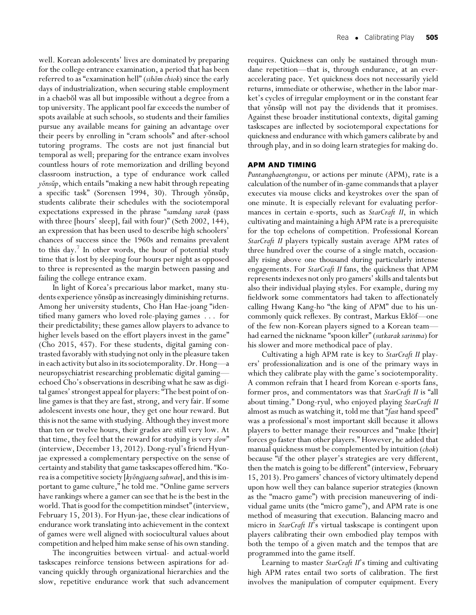well. Korean adolescents' lives are dominated by preparing for the college entrance examination, a period that has been referred to as "examination hell" *(sihom chiok)* since the early days of industrialization, when securing stable employment in a chaebol was all but impossible without a degree from a top university. The applicant pool far exceeds the number of spots available at such schools, so students and their families pursue any available means for gaining an advantage over their peers by enrolling in "cram schools" and after-school tutoring programs. The costs are not just financial but temporal as well; preparing for the entrance exam involves countless hours of rote memorization and drilling beyond classroom instruction, a type of endurance work called *yons ˘ up˘* , which entails "making a new habit through repeating a specific task" (Sorensen 1994, 30). Through yonsup, students calibrate their schedules with the sociotemporal expectations expressed in the phrase "*samdang sarak* (pass with three [hours' sleep], fail with four)" (Seth 2002, 144), an expression that has been used to describe high schoolers' chances of success since the 1960s and remains prevalent to this day.<sup>7</sup> In other words, the hour of potential study time that is lost by sleeping four hours per night as opposed to three is represented as the margin between passing and failing the college entrance exam.

In light of Korea's precarious labor market, many students experience yŏnsŭp as increasingly diminishing returns. Among her university students, Cho Han Hae-joang "identified many gamers who loved role-playing games . . . for their predictability; these games allow players to advance to higher levels based on the effort players invest in the game" (Cho 2015, 457). For these students, digital gaming contrasted favorably with studying not only in the pleasure taken in each activity but also in its sociotemporality. Dr. Hong—a neuropsychiatrist researching problematic digital gaming echoed Cho's observations in describing what he saw as digital games' strongest appeal for players: "The best point of online games is that they are fast, strong, and very fair. If some adolescent invests one hour, they get one hour reward. But this is not the same with studying. Although they invest more than ten or twelve hours, their grades are still very low. At that time, they feel that the reward for studying is very *slow*" (interview, December 13, 2012). Dong-ryul's friend Hyunjae expressed a complementary perspective on the sense of certainty and stability that game taskscapes offered him. "Korea is a competitive society [kyŏngjaeng sahwae], and this is important to game culture," he told me. "Online game servers have rankings where a gamer can see that he is the best in the world. That is good for the competition mindset" (interview, February 15, 2013). For Hyun-jae, these clear indications of endurance work translating into achievement in the context of games were well aligned with sociocultural values about competition and helped him make sense of his own standing.

The incongruities between virtual- and actual-world taskscapes reinforce tensions between aspirations for advancing quickly through organizational hierarchies and the slow, repetitive endurance work that such advancement requires. Quickness can only be sustained through mundane repetition—that is, through endurance, at an everaccelerating pace. Yet quickness does not necessarily yield returns, immediate or otherwise, whether in the labor market's cycles of irregular employment or in the constant fear that yonsup will not pay the dividends that it promises. Against these broader institutional contexts, digital gaming taskscapes are inflected by sociotemporal expectations for quickness and endurance with which gamers calibrate by and through play, and in so doing learn strategies for making do.

#### **APM AND TIMING**

*Puntanghaengtongsu*, or actions per minute (APM), rate is a calculation of the number of in-game commands that a player executes via mouse clicks and keystrokes over the span of one minute. It is especially relevant for evaluating performances in certain e-sports, such as *StarCraft II*, in which cultivating and maintaining a high APM rate is a prerequisite for the top echelons of competition. Professional Korean *StarCraft II* players typically sustain average APM rates of three hundred over the course of a single match, occasionally rising above one thousand during particularly intense engagements. For *StarCraft II* fans, the quickness that APM represents indexes not only pro gamers' skills and talents but also their individual playing styles. For example, during my fieldwork some commentators had taken to affectionately calling Hwang Kang-ho "the king of APM" due to his uncommonly quick reflexes. By contrast, Markus Eklöf—one of the few non-Korean players signed to a Korean team had earned the nickname "spoon killer" (*sutkarak sarinma*) for his slower and more methodical pace of play.

Cultivating a high APM rate is key to *StarCraft II* players' professionalization and is one of the primary ways in which they calibrate play with the game's sociotemporality. A common refrain that I heard from Korean e-sports fans, former pros, and commentators was that *StarCraft II* is "all about timing." Dong-ryul, who enjoyed playing *StarCraft II* almost as much as watching it, told me that "*fast* hand speed" was a professional's most important skill because it allows players to better manage their resources and "make [their] forces go faster than other players." However, he added that manual quickness must be complemented by intuition (*chok*) because "if the other player's strategies are very different, then the match is going to be different" (interview, February 15, 2013). Pro gamers' chances of victory ultimately depend upon how well they can balance superior strategies (known as the "macro game") with precision maneuvering of individual game units (the "micro game"), and APM rate is one method of measuring that execution. Balancing macro and micro in *StarCraft II*'s virtual taskscape is contingent upon players calibrating their own embodied play tempos with both the tempo of a given match and the tempos that are programmed into the game itself.

Learning to master *StarCraft II*'s timing and cultivating high APM rates entail two sorts of calibration. The first involves the manipulation of computer equipment. Every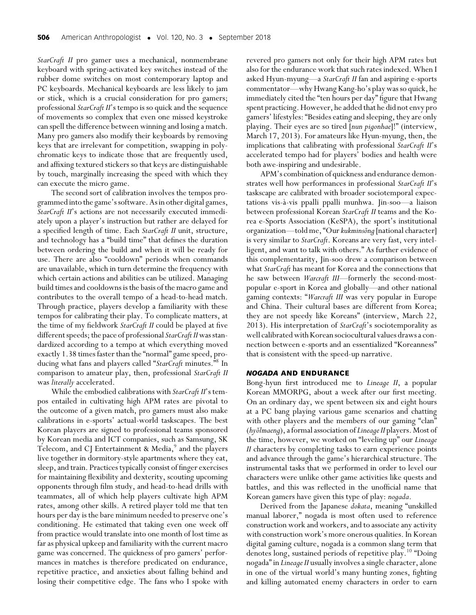*StarCraft II* pro gamer uses a mechanical, nonmembrane keyboard with spring-activated key switches instead of the rubber dome switches on most contemporary laptop and PC keyboards. Mechanical keyboards are less likely to jam or stick, which is a crucial consideration for pro gamers; professional *StarCraft II*'s tempo is so quick and the sequence of movements so complex that even one missed keystroke can spell the difference between winning and losing a match. Many pro gamers also modify their keyboards by removing keys that are irrelevant for competition, swapping in polychromatic keys to indicate those that are frequently used, and affixing textured stickers so that keys are distinguishable by touch, marginally increasing the speed with which they can execute the micro game.

The second sort of calibration involves the tempos programmed intothe game's software. As in other digital games, *StarCraft II*'s actions are not necessarily executed immediately upon a player's instruction but rather are delayed for a specified length of time. Each *StarCraft II* unit, structure, and technology has a "build time" that defines the duration between ordering the build and when it will be ready for use. There are also "cooldown" periods when commands are unavailable, which in turn determine the frequency with which certain actions and abilities can be utilized. Managing build times and cooldowns is the basis of the macro game and contributes to the overall tempo of a head-to-head match. Through practice, players develop a familiarity with these tempos for calibrating their play. To complicate matters, at the time of my fieldwork *StarCraft II* could be played at five different speeds; the pace of professional *StarCraft II* was standardized according to a tempo at which everything moved exactly 1.38 times faster than the "normal" game speed, producing what fans and players called "*StarCraft* minutes."8 In comparison to amateur play, then, professional *StarCraft II* was *literally* accelerated.

While the embodied calibrations with *StarCraft II*'s tempos entailed in cultivating high APM rates are pivotal to the outcome of a given match, pro gamers must also make calibrations in e-sports' actual-world taskscapes. The best Korean players are signed to professional teams sponsored by Korean media and ICT companies, such as Samsung, SK Telecom, and CJ Entertainment & Media,<sup>9</sup> and the players live together in dormitory-style apartments where they eat, sleep, and train. Practices typically consist of finger exercises for maintaining flexibility and dexterity, scouting upcoming opponents through film study, and head-to-head drills with teammates, all of which help players cultivate high APM rates, among other skills. A retired player told me that ten hours per day is the bare minimum needed to preserve one's conditioning. He estimated that taking even one week off from practice would translate into one month of lost time as far as physical upkeep and familiarity with the current macro game was concerned. The quickness of pro gamers' performances in matches is therefore predicated on endurance, repetitive practice, and anxieties about falling behind and losing their competitive edge. The fans who I spoke with

revered pro gamers not only for their high APM rates but also for the endurance work that such rates indexed. When I asked Hyun-myung—a *StarCraft II* fan and aspiring e-sports commentator—why Hwang Kang-ho's play was so quick, he immediately cited the "ten hours per day" figure that Hwang spent practicing. However, he added that he did not envy pro gamers' lifestyles: "Besides eating and sleeping, they are only playing. Their eyes are so tired [*nun pigonhae*]!" (interview, March 17, 2013). For amateurs like Hyun-myung, then, the implications that calibrating with professional *StarCraft II*'s accelerated tempo had for players' bodies and health were both awe-inspiring and undesirable.

APM's combination of quickness and endurance demonstrates well how performances in professional *StarCraft II*'s taskscape are calibrated with broader sociotemporal expectations vis-a-vis ppalli ppalli munhwa. Jin-soo—a liaison ` between professional Korean *StarCraft II* teams and the Korea e-Sports Association (KeSPA), the sport's institutional organization—told me, "Our kukminsong [national character] is very similar to *StarCraft*. Koreans are very fast, very intelligent, and want to talk with others." As further evidence of this complementarity, Jin-soo drew a comparison between what *StarCraft* has meant for Korea and the connections that he saw between *Warcraft III*—formerly the second-mostpopular e-sport in Korea and globally—and other national gaming contexts: "*Warcraft III* was very popular in Europe and China. Their cultural bases are different from Korea; they are not speedy like Koreans" (interview, March 22, 2013). His interpretation of *StarCraft*'s sociotemporality as well calibrated with Korean sociocultural values draws a connection between e-sports and an essentialized "Koreanness" that is consistent with the speed-up narrative.

## *NOGADA* **AND ENDURANCE**

Bong-hyun first introduced me to *Lineage II*, a popular Korean MMORPG, about a week after our first meeting. On an ordinary day, we spent between six and eight hours at a PC bang playing various game scenarios and chatting with other players and the members of our gaming "clan" (hyŏlmaeng), a formal association of Lineage II players. Most of the time, however, we worked on "leveling up" our *Lineage II* characters by completing tasks to earn experience points and advance through the game's hierarchical structure. The instrumental tasks that we performed in order to level our characters were unlike other game activities like quests and battles, and this was reflected in the unofficial name that Korean gamers have given this type of play: *nogada*.

Derived from the Japanese *dokata*, meaning "unskilled manual laborer," nogada is most often used to reference construction work and workers, and to associate any activity with construction work's more onerous qualities. In Korean digital gaming culture, nogada is a common slang term that denotes long, sustained periods of repetitive play.<sup>10</sup> "Doing nogada" in *Lineage II* usually involves a single character, alone in one of the virtual world's many hunting zones, fighting and killing automated enemy characters in order to earn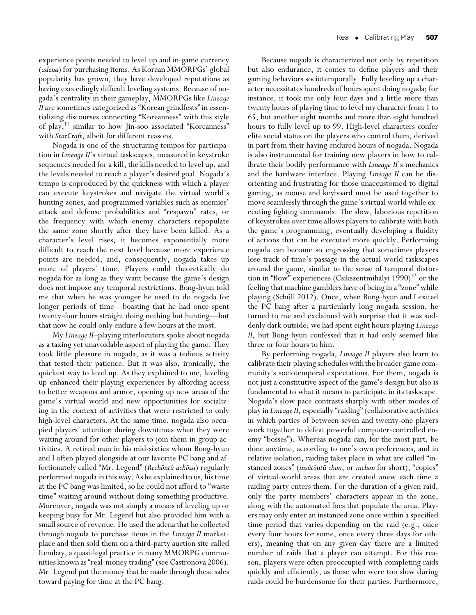experience points needed to level up and in-game currency (*adena*) for purchasing items. As Korean MMORPGs' global popularity has grown, they have developed reputations as having exceedingly difficult leveling systems. Because of nogada's centrality in their gameplay, MMORPGs like *Lineage II*are sometimes categorized as "Korean grindfests" in essentializing discourses connecting "Koreanness" with this style of play,<sup>11</sup> similar to how Jin-soo associated "Koreanness" with *StarCraft*, albeit for different reasons.

Nogada is one of the structuring tempos for participation in *Lineage II*'s virtual taskscapes, measured in keystroke sequences needed for a kill, the kills needed to level up, and the levels needed to reach a player's desired goal. Nogada's tempo is coproduced by the quickness with which a player can execute keystrokes and navigate the virtual world's hunting zones, and programmed variables such as enemies' attack and defense probabilities and "respawn" rates, or the frequency with which enemy characters repopulate the same zone shortly after they have been killed. As a character's level rises, it becomes exponentially more difficult to reach the next level because more experience points are needed, and, consequently, nogada takes up more of players' time. Players could theoretically do nogada for as long as they want because the game's design does not impose any temporal restrictions. Bong-hyun told me that when he was younger he used to do nogada for longer periods of time—boasting that he had once spent twenty-four hours straight doing nothing but hunting—but that now he could only endure a few hours at the most.

My *Lineage II*–playing interlocutors spoke about nogada as a taxing yet unavoidable aspect of playing the game. They took little pleasure in nogada, as it was a tedious activity that tested their patience. But it was also, ironically, the quickest way to level up. As they explained to me, leveling up enhanced their playing experiences by affording access to better weapons and armor, opening up new areas of the game's virtual world and new opportunities for socializing in the context of activities that were restricted to only high-level characters. At the same time, nogada also occupied players' attention during downtimes when they were waiting around for other players to join them in group activities. A retired man in his mid-sixties whom Bong-hyun and I often played alongside at our favorite PC bang and affectionately called "Mr. Legend" (*Rechontu achossi*) regularly performed nogada in this way. As he explained to us, his time at the PC bang was limited, so he could not afford to "waste time" waiting around without doing something productive. Moreover, nogada was not simply a means of leveling up or keeping busy for Mr. Legend but also provided him with a small source of revenue. He used the adena that he collected through nogada to purchase items in the *Lineage II* marketplace and then sold them on a third-party auction site called Itembay, a quasi-legal practice in many MMORPG communities known as "real-money trading" (see Castronova 2006). Mr. Legend put the money that he made through these sales toward paying for time at the PC bang.

Because nogada is characterized not only by repetition but also endurance, it comes to define players and their gaming behaviors sociotemporally. Fully leveling up a character necessitates hundreds of hours spent doing nogada; for instance, it took me only four days and a little more than twenty hours of playing time to level my character from 1 to 65, but another eight months and more than eight hundred hours to fully level up to 99. High-level characters confer elite social status on the players who control them, derived in part from their having endured hours of nogada. Nogada is also instrumental for training new players in how to calibrate their bodily performance with *Lineage II*'s mechanics and the hardware interface. Playing *Lineage II* can be disorienting and frustrating for those unaccustomed to digital gaming, as mouse and keyboard must be used together to move seamlessly through the game's virtual world while executing fighting commands. The slow, laborious repetition of keystrokes over time allows players to calibrate with both the game's programming, eventually developing a fluidity of actions that can be executed more quickly. Performing nogada can become so engrossing that sometimes players lose track of time's passage in the actual-world taskscapes around the game, similar to the sense of temporal distortion in "flow" experiences (Csikszentmihalyi 1990)<sup>12</sup> or the feeling that machine gamblers have of being in a "zone" while playing (Schüll 2012). Once, when Bong-hyun and I exited the PC bang after a particularly long nogada session, he turned to me and exclaimed with surprise that it was suddenly dark outside; we had spent eight hours playing *Lineage II*, but Bong-hyun confessed that it had only seemed like three or four hours to him.

By performing nogada, *Lineage II* players also learn to calibrate their playing schedules with the broader game community's sociotemporal expectations. For them, nogada is not just a constitutive aspect of the game's design but also is fundamental to what it means to participate in its taskscape. Nogada's slow pace contrasts sharply with other modes of play in *Lineage II*, especially "raiding" (collaborative activities in which parties of between seven and twenty-one players work together to defeat powerful computer-controlled enemy "bosses"). Whereas nogada can, for the most part, be done anytime, according to one's own preferences, and in relative isolation, raiding takes place in what are called "instanced zones" (*insutontu chon*, or *inchon* for short), "copies" of virtual-world areas that are created anew each time a raiding party enters them. For the duration of a given raid, only the party members' characters appear in the zone, along with the automated foes that populate the area. Players may only enter an instanced zone once within a specified time period that varies depending on the raid (e.g., once every four hours for some, once every three days for others), meaning that on any given day there are a limited number of raids that a player can attempt. For this reason, players were often preoccupied with completing raids quickly and efficiently, as those who were too slow during raids could be burdensome for their parties. Furthermore,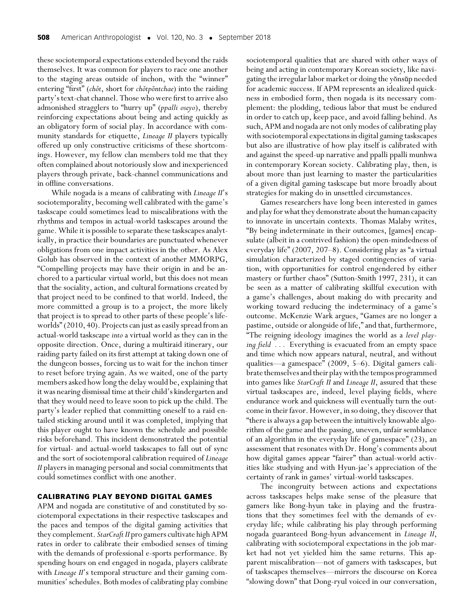these sociotemporal expectations extended beyond the raids themselves. It was common for players to race one another to the staging areas outside of inchon, with the "winner" entering "first" (*chot*, short for *chotpontchae*) into the raiding party's text-chat channel. Those who were first to arrive also admonished stragglers to "hurry up" (*ppalli oseyo*), thereby reinforcing expectations about being and acting quickly as an obligatory form of social play. In accordance with community standards for etiquette, *Lineage II* players typically offered up only constructive criticisms of these shortcomings. However, my fellow clan members told me that they often complained about notoriously slow and inexperienced players through private, back-channel communications and in offline conversations.

While nogada is a means of calibrating with *Lineage II*'s sociotemporality, becoming well calibrated with the game's taskscape could sometimes lead to miscalibrations with the rhythms and tempos in actual-world taskscapes around the game. While it is possible to separate these taskscapes analytically, in practice their boundaries are punctuated whenever obligations from one impact activities in the other. As Alex Golub has observed in the context of another MMORPG, "Compelling projects may have their origin in and be anchored to a particular virtual world, but this does not mean that the sociality, action, and cultural formations created by that project need to be confined to that world. Indeed, the more committed a group is to a project, the more likely that project is to spread to other parts of these people's lifeworlds" (2010, 40). Projects can just as easily spread from an actual-world taskscape *into* a virtual world as they can in the opposite direction. Once, during a multiraid itinerary, our raiding party failed on its first attempt at taking down one of the dungeon bosses, forcing us to wait for the inchon timer to reset before trying again. As we waited, one of the party members asked how long the delay would be, explaining that it was nearing dismissal time at their child's kindergarten and that they would need to leave soon to pick up the child. The party's leader replied that committing oneself to a raid entailed sticking around until it was completed, implying that this player ought to have known the schedule and possible risks beforehand. This incident demonstrated the potential for virtual- and actual-world taskscapes to fall out of sync and the sort of sociotemporal calibration required of *Lineage II* players in managing personal and social commitments that could sometimes conflict with one another.

#### **CALIBRATING PLAY BEYOND DIGITAL GAMES**

APM and nogada are constitutive of and constituted by sociotemporal expectations in their respective taskscapes and the paces and tempos of the digital gaming activities that they complement. *StarCraft II* pro gamers cultivate high APM rates in order to calibrate their embodied senses of timing with the demands of professional e-sports performance. By spending hours on end engaged in nogada, players calibrate with *Lineage II*'s temporal structure and their gaming communities' schedules. Both modes of calibrating play combine

sociotemporal qualities that are shared with other ways of being and acting in contemporary Korean society, like navigating the irregular labor market or doing the yons up needed for academic success. If APM represents an idealized quickness in embodied form, then nogada is its necessary complement: the plodding, tedious labor that must be endured in order to catch up, keep pace, and avoid falling behind. As such, APM and nogada are not only modes of calibrating play with sociotemporal expectations in digital gaming taskscapes but also are illustrative of how play itself is calibrated with and against the speed-up narrative and ppalli ppalli munhwa in contemporary Korean society. Calibrating play, then, is about more than just learning to master the particularities of a given digital gaming taskscape but more broadly about strategies for making do in unsettled circumstances.

Games researchers have long been interested in games and play for what they demonstrate about the human capacity to innovate in uncertain contexts. Thomas Malaby writes, "By being indeterminate in their outcomes, [games] encapsulate (albeit in a contrived fashion) the open-mindedness of everyday life" (2007, 207–8). Considering play as "a virtual simulation characterized by staged contingencies of variation, with opportunities for control engendered by either mastery or further chaos" (Sutton-Smith 1997, 231), it can be seen as a matter of calibrating skillful execution with a game's challenges, about making do with precarity and working toward reducing the indeterminacy of a game's outcome. McKenzie Wark argues, "Games are no longer a pastime, outside or alongside of life," and that, furthermore, "The reigning ideology imagines the world as a *level playing field . . .* Everything is evacuated from an empty space and time which now appears natural, neutral, and without qualities—a gamespace" (2009, 5–6). Digital gamers calibrate themselves and their play with the tempos programmed into games like *StarCraft II* and *Lineage II*, assured that these virtual taskscapes are, indeed, level playing fields, where endurance work and quickness will eventually turn the outcome in their favor. However, in so doing, they discover that "there is always a gap between the intuitively knowable algorithm of the game and the passing, uneven, unfair semblance of an algorithm in the everyday life of gamespace" (23), an assessment that resonates with Dr. Hong's comments about how digital games appear "fairer" than actual-world activities like studying and with Hyun-jae's appreciation of the certainty of rank in games' virtual-world taskscapes.

The incongruity between actions and expectations across taskscapes helps make sense of the pleasure that gamers like Bong-hyun take in playing and the frustrations that they sometimes feel with the demands of everyday life; while calibrating his play through performing nogada guaranteed Bong-hyun advancement in *Lineage II*, calibrating with sociotemporal expectations in the job market had not yet yielded him the same returns. This apparent miscalibration—not of gamers with taskscapes, but of taskscapes themselves—mirrors the discourse on Korea "slowing down" that Dong-ryul voiced in our conversation,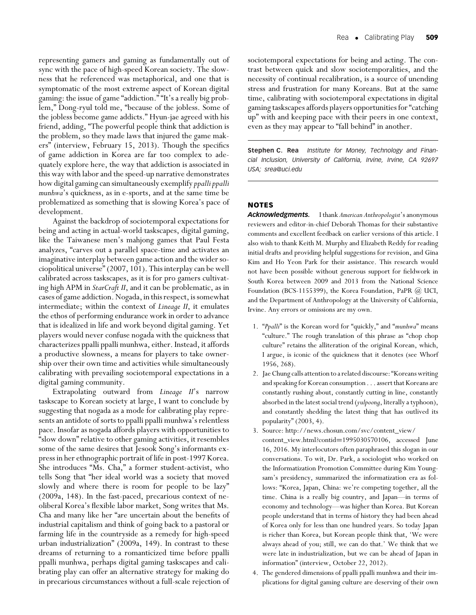representing gamers and gaming as fundamentally out of sync with the pace of high-speed Korean society. The slowness that he referenced was metaphorical, and one that is symptomatic of the most extreme aspect of Korean digital gaming: the issue of game "addiction." "It's a really big problem," Dong-ryul told me, "because of the jobless. Some of the jobless become game addicts." Hyun-jae agreed with his friend, adding, "The powerful people think that addiction is the problem, so they made laws that injured the game makers" (interview, February 15, 2013). Though the specifics of game addiction in Korea are far too complex to adequately explore here, the way that addiction is associated in this way with labor and the speed-up narrative demonstrates how digital gaming can simultaneously exemplify *ppalli ppalli munhwa*'s quickness, as in e-sports, and at the same time be problematized as something that is slowing Korea's pace of development.

Against the backdrop of sociotemporal expectations for being and acting in actual-world taskscapes, digital gaming, like the Taiwanese men's mahjong games that Paul Festa analyzes, "carves out a parallel space-time and activates an imaginative interplay between game action and the wider sociopolitical universe" (2007, 101). This interplay can be well calibrated across taskscapes, as it is for pro gamers cultivating high APM in *StarCraft II*, and it can be problematic, as in cases of game addiction. Nogada, inthis respect, is somewhat intermediate; within the context of *Lineage II*, it emulates the ethos of performing endurance work in order to advance that is idealized in life and work beyond digital gaming. Yet players would never confuse nogada with the quickness that characterizes ppalli ppalli munhwa, either. Instead, it affords a productive slowness, a means for players to take ownership over their own time and activities while simultaneously calibrating with prevailing sociotemporal expectations in a digital gaming community.

Extrapolating outward from *Lineage II*'s narrow taskscape to Korean society at large, I want to conclude by suggesting that nogada as a mode for calibrating play represents an antidote of sorts to ppalli ppalli munhwa's relentless pace. Insofar as nogada affords players with opportunities to "slow down" relative to other gaming activities, it resembles some of the same desires that Jesook Song's informants express in her ethnographic portrait of life in post-1997 Korea. She introduces "Ms. Cha," a former student-activist, who tells Song that "her ideal world was a society that moved slowly and where there is room for people to be lazy" (2009a, 148). In the fast-paced, precarious context of neoliberal Korea's flexible labor market, Song writes that Ms. Cha and many like her "are uncertain about the benefits of industrial capitalism and think of going back to a pastoral or farming life in the countryside as a remedy for high-speed urban industrialization" (2009a, 149). In contrast to these dreams of returning to a romanticized time before ppalli ppalli munhwa, perhaps digital gaming taskscapes and calibrating play can offer an alternative strategy for making do in precarious circumstances without a full-scale rejection of sociotemporal expectations for being and acting. The contrast between quick and slow sociotemporalities, and the necessity of continual recalibration, is a source of unending stress and frustration for many Koreans. But at the same time, calibrating with sociotemporal expectations in digital gaming taskscapes affords players opportunities for "catching up" with and keeping pace with their peers in one context, even as they may appear to "fall behind" in another.

**Stephen C. Rea** *Institute for Money, Technology and Financial Inclusion, University of California, Irvine, Irvine, CA 92697 USA; srea@uci.edu*

# **NOTES**

*Acknowledgments.* I thank *American Anthropologist*'s anonymous reviewers and editor-in-chief Deborah Thomas for their substantive comments and excellent feedback on earlier versions of this article. I also wish to thank Keith M. Murphy and Elizabeth Reddy for reading initial drafts and providing helpful suggestions for revision, and Gina Kim and Ho Yeon Park for their assistance. This research would not have been possible without generous support for fieldwork in South Korea between 2009 and 2013 from the National Science Foundation (BCS-1155399), the Korea Foundation, PaPR @ UCI, and the Department of Anthropology at the University of California, Irvine. Any errors or omissions are my own.

- 1. "*Ppalli*" is the Korean word for "quickly," and "*munhwa*" means "culture." The rough translation of this phrase as "chop chop culture" retains the alliteration of the original Korean, which, I argue, is iconic of the quickness that it denotes (see Whorf 1956, 268).
- 2. Jae Chung calls attention to a related discourse: "Koreans writing and speaking for Korean consumption . . . assert that Koreans are constantly rushing about, constantly cutting in line, constantly absorbed in the latest social trend (*yulpoong*, literally a typhoon), and constantly shedding the latest thing that has outlived its popularity" (2003, 4).
- 3. Source: [http://news.chosun.com/svc/content\\_view/](http://news.chosun.com/svc/content_view/content_view.html?contid=1995030570106) [content\\_view.html?contid](http://news.chosun.com/svc/content_view/content_view.html?contid=1995030570106)=1995030570106, accessed June 16, 2016. My interlocutors often paraphrased this slogan in our conversations. To wit, Dr. Park, a sociologist who worked on the Informatization Promotion Committee during Kim Youngsam's presidency, summarized the informatization era as follows: "Korea, Japan, China: we're competing together, all the time. China is a really big country, and Japan—in terms of economy and technology—was higher than Korea. But Korean people understand that in terms of history they had been ahead of Korea only for less than one hundred years. So today Japan is richer than Korea, but Korean people think that, 'We were always ahead of you; still, we can do that.' We think that we were late in industrialization, but we can be ahead of Japan in information" (interview, October 22, 2012).
- 4. The gendered dimensions of ppalli ppalli munhwa and their implications for digital gaming culture are deserving of their own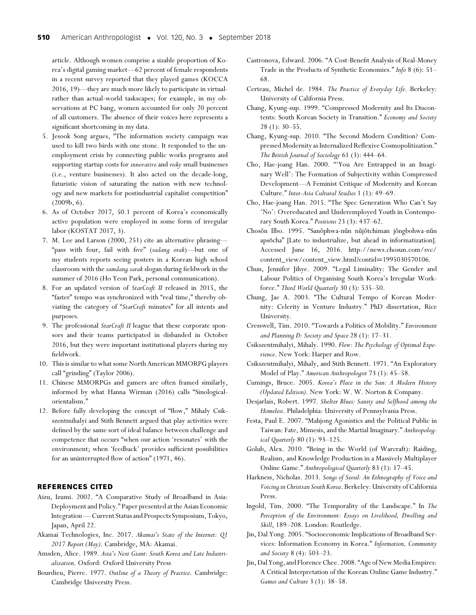article. Although women comprise a sizable proportion of Korea's digital gaming market—62 percent of female respondents in a recent survey reported that they played games (KOCCA 2016, 19)—they are much more likely to participate in virtualrather than actual-world taskscapes; for example, in my observations at PC bang, women accounted for only 20 percent of all customers. The absence of their voices here represents a significant shortcoming in my data.

- 5. Jesook Song argues, "The information society campaign was used to kill two birds with one stone. It responded to the unemployment crisis by connecting public works programs and supporting startup costs for *innovative* and *risky* small businesses (i.e., venture businesses). It also acted on the decade-long, futuristic vision of saturating the nation with new technology and new markets for postindustrial capitalist competition" (2009b, 6).
- 6. As of October 2017, 50.1 percent of Korea's economically active population were employed in some form of irregular labor (KOSTAT 2017, 3).
- 7. M. Lee and Larson (2000, 251) cite an alternative phrasing— "pass with four, fail with five" (*sadang orak*)—but one of my students reports seeing posters in a Korean high school classroom with the *samdang sarak* slogan during fieldwork in the summer of 2016 (Ho Yeon Park, personal communication).
- 8. For an updated version of *StarCraft II* released in 2015, the "faster" tempo was synchronized with "real time," thereby obviating the category of "*StarCraft* minutes" for all intents and purposes.
- 9. The professional *StarCraft II* league that these corporate sponsors and their teams participated in disbanded in October 2016, but they were important institutional players during my fieldwork.
- 10. This is similar to what some North American MMORPG players call "grinding" (Taylor 2006).
- 11. Chinese MMORPGs and gamers are often framed similarly, informed by what Hanna Wirman (2016) calls "Sinologicalorientalism."
- 12. Before fully developing the concept of "flow," Mihaly Csikszentmihalyi and Stith Bennett argued that play activities were defined by the same sort of ideal balance between challenge and competence that occurs "when our action 'resonates' with the environment; when 'feedback' provides sufficient possibilities for an uninterrupted flow of action" (1971, 46).

## **REFERENCES CITED**

- Aizu, Izumi. 2002. "A Comparative Study of Broadband in Asia: Deployment and Policy." Paper presented at the Asian Economic Integration— Current Status and Prospects Symposium, Tokyo, Japan, April 22.
- Akamai Technologies, Inc. 2017. *Akamai's State of the Internet: Q1 2017 Report (May)*. Cambridge, MA: Akamai.
- Amsden, Alice. 1989. *Asia's Next Giant: South Korea and Late Industrialization*. Oxford: Oxford University Press
- Bourdieu, Pierre. 1977. *Outline of a Theory of Practice*. Cambridge: Cambridge University Press.
- Castronova, Edward. 2006. "A Cost-Benefit Analysis of Real-Money Trade in the Products of Synthetic Economies." *Info* 8 (6): 51– 68.
- Certeau, Michel de. 1984. *The Practice of Everyday Life*. Berkeley: University of California Press.
- Chang, Kyung-sup. 1999. "Compressed Modernity and Its Discontents: South Korean Society in Transition." *Economy and Society* 28 (1): 30–55.
- Chang, Kyung-sup. 2010. "The Second Modern Condition? Compressed Modernity as Internalized Reflexive Cosmopolitization." *The British Journal of Sociology* 61 (3): 444–64.
- Cho, Hae-joang Han. 2000. "'You Are Entrapped in an Imaginary Well': The Formation of Subjectivity within Compressed Development—A Feminist Critique of Modernity and Korean Culture." *Inter-Asia Cultural Studies* 1 (1): 49–69.
- Cho, Hae-joang Han. 2015. "The Spec Generation Who Can't Say 'No': Overeducated and Underemployed Youth in Contemporary South Korea." *Positions* 23 (3): 437–62.
- Chosŏn Ilbo. 1995. "Sanŏphwa-nŭn nŭjŏtchiman jŏngbohwa-nŭn apsŏcha" [Late to industrialize, but ahead in informatization]. Accessed June 16, 2016. [http://news.chosun.com/svc/](http://news.chosun.com/svc/content_view/content_view.html?contid=1995030570106) [content\\_view/content\\_view.html?contid](http://news.chosun.com/svc/content_view/content_view.html?contid=1995030570106)=1995030570106.
- Chun, Jennifer Jihye. 2009. "Legal Liminality: The Gender and Labour Politics of Organising South Korea's Irregular Workforce." *Third World Quarterly* 30 (3): 535–50.
- Chung, Jae A. 2003. "The Cultural Tempo of Korean Modernity: Celerity in Venture Industry." PhD dissertation, Rice University.
- Cresswell, Tim. 2010. "Towards a Politics of Mobility." *Environment and Planning D: Society and Space* 28 (1): 17–31.
- Csikszentmihalyi, Mihaly. 1990. *Flow: The Psychology of Optimal Experience*. New York: Harper and Row.
- Csikszentmihalyi, Mihaly, and Stith Bennett. 1971. "An Exploratory Model of Play." *American Anthropologist* 73 (1): 45–58.
- Cumings, Bruce. 2005. *Korea's Place in the Sun: A Modern History (Updated Edition)*. New York: W. W. Norton & Company.
- Desjarlais, Robert. 1997. *Shelter Blues: Sanity and Selfhood among the Homeless*. Philadelphia: University of Pennsylvania Press.
- Festa, Paul E. 2007. "Mahjong Agonistics and the Political Public in Taiwan: Fate, Mimesis, and the Martial Imaginary." *Anthropological Quarterly* 80 (1): 93–125.
- Golub, Alex. 2010. "Being in the World (of Warcraft): Raiding, Realism, and Knowledge Production in a Massively Multiplayer Online Game." *Anthropological Quarterly* 83 (1): 17–45.
- Harkness, Nicholas. 2013. *Songs of Seoul: An Ethnography of Voice and Voicing in Christian South Korea*. Berkeley: University of California Press.
- Ingold, Tim. 2000. "The Temporality of the Landscape." In *The Perception of the Environment: Essays on Livelihood, Dwelling and Skill*, 189–208. London: Routledge.
- Jin, Dal Yong. 2005. "Socioeconomic Implications of Broadband Services: Information Economy in Korea." *Information, Community and Society* 8 (4): 503–23.
- Jin, Dal Yong, and Florence Chee. 2008. "Age of New Media Empires: A Critical Interpretation of the Korean Online Game Industry." *Games and Culture* 3 (1): 38–58.